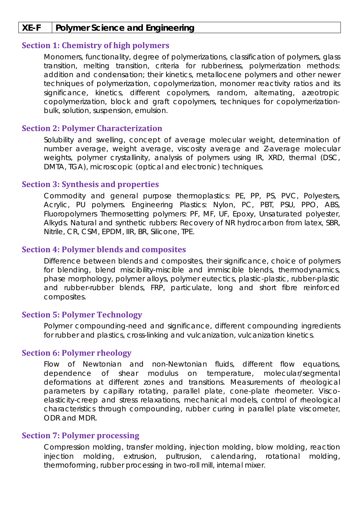## **XE-F Polymer Science and Engineering**

## **Section 1: Chemistry of high polymers**

Monomers, functionality, degree of polymerizations, classification of polymers, glass transition, melting transition, criteria for rubberiness, polymerization methods: addition and condensation; their kinetics, metallocene polymers and other newer techniques of polymerization, copolymerization, monomer reactivity ratios and its significance, kinetics, different copolymers, random, alternating, azeotropic copolymerization, block and graft copolymers, techniques for copolymerizationbulk, solution, suspension, emulsion.

### **Section 2: Polymer Characterization**

Solubility and swelling, concept of average molecular weight, determination of number average, weight average, viscosity average and Z-average molecular weights, polymer crystallinity, analysis of polymers using IR, XRD, thermal (DSC, DMTA, TGA), microscopic (optical and electronic) techniques.

#### **Section 3: Synthesis and properties**

Commodity and general purpose thermoplastics: PE, PP, PS, PVC, Polyesters, Acrylic, PU polymers. Engineering Plastics: Nylon, PC, PBT, PSU, PPO, ABS, Fluoropolymers Thermosetting polymers: PF, MF, UF, Epoxy, Unsaturated polyester, Alkyds. Natural and synthetic rubbers: Recovery of NR hydrocarbon from latex, SBR, Nitrile, CR, CSM, EPDM, IIR, BR, Silicone, TPE.

### **Section 4: Polymer blends and composites**

Difference between blends and composites, their significance, choice of polymers for blending, blend miscibility-miscible and immiscible blends, thermodynamics, phase morphology, polymer alloys, polymer eutectics, plastic-plastic, rubber-plastic and rubber-rubber blends, FRP, particulate, long and short fibre reinforced composites.

### **Section 5: Polymer Technology**

Polymer compounding-need and significance, different compounding ingredients for rubber and plastics, cross-linking and vulcanization, vulcanization kinetics.

### **Section 6: Polymer rheology**

Flow of Newtonian and non-Newtonian fluids, different flow equations, dependence of shear modulus on temperature, molecular/segmental deformations at different zones and transitions. Measurements of rheological parameters by capillary rotating, parallel plate, cone-plate rheometer. Viscoelasticity-creep and stress relaxations, mechanical models, control of rheological characteristics through compounding, rubber curing in parallel plate viscometer, ODR and MDR.

### **Section 7: Polymer processing**

Compression molding, transfer molding, injection molding, blow molding, reaction injection molding, extrusion, pultrusion, calendaring, rotational molding, thermoforming, rubber processing in two-roll mill, internal mixer.